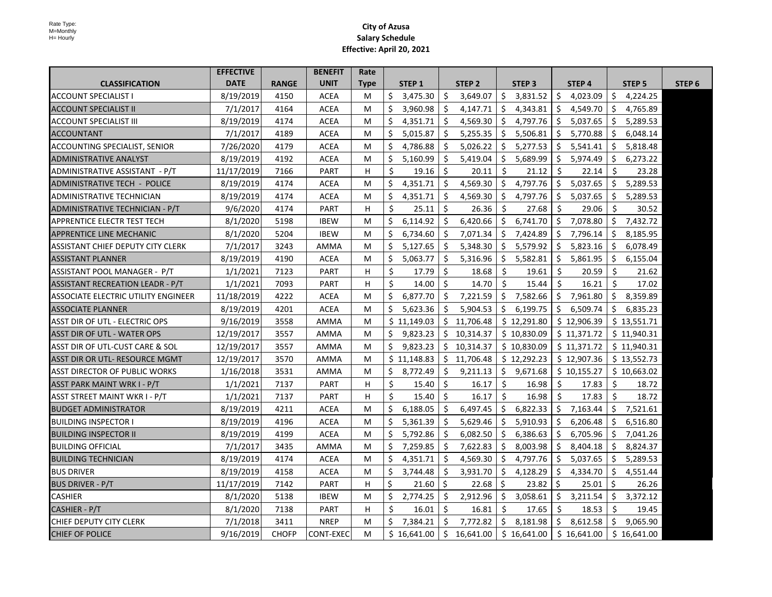|                                     | <b>EFFECTIVE</b> |              | <b>BENEFIT</b> | Rate        |    |                   |    |                   |     |                   |     |                   |    |                   |                   |
|-------------------------------------|------------------|--------------|----------------|-------------|----|-------------------|----|-------------------|-----|-------------------|-----|-------------------|----|-------------------|-------------------|
| <b>CLASSIFICATION</b>               | <b>DATE</b>      | <b>RANGE</b> | <b>UNIT</b>    | <b>Type</b> |    | STEP <sub>1</sub> |    | STEP <sub>2</sub> |     | STEP <sub>3</sub> |     | STEP <sub>4</sub> |    | STEP <sub>5</sub> | STEP <sub>6</sub> |
| <b>ACCOUNT SPECIALIST I</b>         | 8/19/2019        | 4150         | <b>ACEA</b>    | M           | \$ | 3,475.30          | \$ | 3,649.07          | Ŝ.  | 3,831.52          | \$  | 4,023.09          | \$ | 4,224.25          |                   |
| <b>ACCOUNT SPECIALIST II</b>        | 7/1/2017         | 4164         | <b>ACEA</b>    | M           | \$ | 3,960.98          | \$ | 4,147.71          | Ŝ.  | 4,343.81          | \$  | 4,549.70          | \$ | 4,765.89          |                   |
| ACCOUNT SPECIALIST III              | 8/19/2019        | 4174         | <b>ACEA</b>    | M           | Ŝ. | 4,351.71          | Ŝ. | 4,569.30          | Ŝ.  | 4,797.76          | Ŝ.  | 5,037.65          | Ŝ. | 5,289.53          |                   |
| <b>ACCOUNTANT</b>                   | 7/1/2017         | 4189         | <b>ACEA</b>    | M           | \$ | 5,015.87          | Ŝ. | 5,255.35          | Ŝ.  | 5,506.81          | -\$ | 5,770.88          | Ŝ. | 6,048.14          |                   |
| ACCOUNTING SPECIALIST, SENIOR       | 7/26/2020        | 4179         | ACEA           | M           | Ŝ. | 4,786.88          | Ś. | 5,026.22          | Ŝ.  | 5,277.53          | Ŝ   | 5,541.41          | Ŝ. | 5,818.48          |                   |
| ADMINISTRATIVE ANALYST              | 8/19/2019        | 4192         | ACEA           | M           | \$ | 5,160.99          | Ŝ. | 5,419.04          | Ŝ.  | 5,689.99          | Ŝ   | 5,974.49          | S. | 6,273.22          |                   |
| ADMINISTRATIVE ASSISTANT - P/T      | 11/17/2019       | 7166         | <b>PART</b>    | H           | Ś. | 19.16             | Ŝ. | 20.11             | Ś.  | 21.12             | Ŝ.  | 22.14             | Ś. | 23.28             |                   |
| ADMINISTRATIVE TECH - POLICE        | 8/19/2019        | 4174         | <b>ACEA</b>    | M           | Ŝ. | 4,351.71          | Ś. | 4,569.30          | Ŝ.  | 4,797.76          | Ŝ.  | 5,037.65          | Ŝ. | 5,289.53          |                   |
| ADMINISTRATIVE TECHNICIAN           | 8/19/2019        | 4174         | ACEA           | M           | Ŝ. | 4,351.71          | Ŝ. | 4,569.30          | Ŝ.  | 4,797.76          | Ŝ.  | 5,037.65          | Ŝ. | 5,289.53          |                   |
| ADMINISTRATIVE TECHNICIAN - P/T     | 9/6/2020         | 4174         | <b>PART</b>    | н           | Ś. | 25.11             | Ś. | 26.36             | Ŝ.  | 27.68             | Ŝ.  | 29.06             | Ŝ. | 30.52             |                   |
| <b>APPRENTICE ELECTR TEST TECH</b>  | 8/1/2020         | 5198         | <b>IBEW</b>    | M           | Ŝ. | 6,114.92          | Ś. | 6,420.66          | Ŝ.  | 6,741.70          | Ŝ.  | 7,078.80          | Ŝ. | 7,432.72          |                   |
| APPRENTICE LINE MECHANIC            | 8/1/2020         | 5204         | <b>IBEW</b>    | М           | Ŝ. | 6,734.60          | Ŝ. | 7,071.34          | Ŝ   | 7,424.89          | Ŝ.  | 7,796.14          | Ŝ. | 8,185.95          |                   |
| ASSISTANT CHIEF DEPUTY CITY CLERK   | 7/1/2017         | 3243         | AMMA           | M           | \$ | 5,127.65          | Ŝ. | 5,348.30          | Ŝ.  | 5,579.92          | \$  | 5,823.16          | Ŝ. | 6,078.49          |                   |
| IASSISTANT PLANNER                  | 8/19/2019        | 4190         | <b>ACEA</b>    | M           | Ŝ. | 5,063.77          | Ś. | 5,316.96          | Ŝ.  | 5,582.81          | Ŝ.  | 5,861.95          | S. | 6,155.04          |                   |
| ASSISTANT POOL MANAGER - P/T        | 1/1/2021         | 7123         | PART           | н           | Ś. | 17.79             | Ŝ. | 18.68             | Ś.  | 19.61             | Ŝ.  | 20.59             | Ŝ. | 21.62             |                   |
| ASSISTANT RECREATION LEADR - P/T    | 1/1/2021         | 7093         | PART           | H           | Ś. | 14.00             | Ŝ. | 14.70             | Ŝ.  | 15.44             | Ŝ.  | 16.21             | Ŝ. | 17.02             |                   |
| ASSOCIATE ELECTRIC UTILITY ENGINEER | 11/18/2019       | 4222         | <b>ACEA</b>    | м           | \$ | 6,877.70          | Ŝ. | 7,221.59          | Ŝ.  | 7,582.66          | Ŝ.  | 7,961.80          | Ś. | 8,359.89          |                   |
| <b>ASSOCIATE PLANNER</b>            | 8/19/2019        | 4201         | ACEA           | М           | \$ | 5,623.36          | Ŝ. | 5,904.53          | Ŝ.  | 6,199.75          | Ŝ.  | 6,509.74          | Ś. | 6,835.23          |                   |
| ASST DIR OF UTL - ELECTRIC OPS      | 9/16/2019        | 3558         | AMMA           | М           |    | \$11,149.03       |    | \$11,706.48       |     | \$12,291.80       |     | \$12,906.39       |    | \$13,551.71       |                   |
| ASST DIR OF UTL - WATER OPS         | 12/19/2017       | 3557         | AMMA           | м           | Ŝ. | 9,823.23          |    | \$10,314.37       |     | \$10,830.09       |     | \$11,371.72       |    | \$11,940.31       |                   |
| ASST DIR OF UTL-CUST CARE & SOL     | 12/19/2017       | 3557         | AMMA           | М           | \$ | 9,823.23          |    | \$10,314.37       |     | \$10,830.09       |     | \$11,371.72       |    | \$11,940.31       |                   |
| ASST DIR OR UTL- RESOURCE MGMT      | 12/19/2017       | 3570         | AMMA           | М           |    | \$11,148.83       |    | \$11,706.48       |     | \$12,292.23       |     | \$12,907.36       |    | \$13,552.73       |                   |
| ASST DIRECTOR OF PUBLIC WORKS       | 1/16/2018        | 3531         | AMMA           | M           | Ŝ. | 8,772.49          | Ŝ. | 9,211.13          | Ŝ.  | 9,671.68          |     | \$10,155.27       |    | \$10,663.02       |                   |
| ASST PARK MAINT WRK I - P/T         | 1/1/2021         | 7137         | <b>PART</b>    | н           | \$ | 15.40             | Ŝ. | 16.17             | Ŝ.  | 16.98             | Ŝ.  | 17.83             | Ŝ. | 18.72             |                   |
| ASST STREET MAINT WKR I - P/T       | 1/1/2021         | 7137         | <b>PART</b>    | н           | \$ | 15.40             | Ŝ. | 16.17             | \$  | 16.98             | Ŝ.  | 17.83             | Ŝ. | 18.72             |                   |
| <b>BUDGET ADMINISTRATOR</b>         | 8/19/2019        | 4211         | ACEA           | M           | \$ | 6,188.05          | Ŝ. | 6,497.45          | Ŝ.  | 6,822.33          | Ŝ.  | 7,163.44          | \$ | 7,521.61          |                   |
| <b>BUILDING INSPECTOR I</b>         | 8/19/2019        | 4196         | ACEA           | М           | \$ | 5,361.39          | Ś. | 5,629.46          | Ŝ.  | 5,910.93          | Ŝ   | 6,206.48          | S. | 6,516.80          |                   |
| <b>BUILDING INSPECTOR II</b>        | 8/19/2019        | 4199         | <b>ACEA</b>    | M           | \$ | 5,792.86          | \$ | 6,082.50          | Ŝ.  | 6,386.63          | Ŝ.  | 6,705.96          | \$ | 7,041.26          |                   |
| <b>BUILDING OFFICIAL</b>            | 7/1/2017         | 3435         | AMMA           | M           | Ŝ. | 7,259.85          | Ŝ. | 7,622.83          | -\$ | 8,003.98          | -\$ | 8,404.18          | \$ | 8,824.37          |                   |
| <b>BUILDING TECHNICIAN</b>          | 8/19/2019        | 4174         | ACEA           | М           | S. | 4,351.71          | Ŝ. | 4,569.30          | -\$ | 4,797.76          | \$  | 5,037.65          | S. | 5,289.53          |                   |
| <b>BUS DRIVER</b>                   | 8/19/2019        | 4158         | <b>ACEA</b>    | M           | \$ | 3,744.48          | \$ | 3,931.70          | Ŝ.  | 4,128.29          | Ŝ.  | 4,334.70          | \$ | 4,551.44          |                   |
| <b>BUS DRIVER - P/T</b>             | 11/17/2019       | 7142         | <b>PART</b>    | н           | Ŝ. | 21.60             | Ŝ. | 22.68             | - Ś | 23.82             | Ŝ.  | 25.01             | Ŝ. | 26.26             |                   |
| <b>CASHIER</b>                      | 8/1/2020         | 5138         | <b>IBEW</b>    | M           | Ŝ. | 2,774.25          | Ŝ. | 2,912.96          | Ŝ.  | 3,058.61          | S.  | 3,211.54          | S. | 3,372.12          |                   |
| CASHIER - P/T                       | 8/1/2020         | 7138         | <b>PART</b>    | н           | Ś. | 16.01             | Ŝ. | 16.81             | \$  | 17.65             | Ŝ.  | 18.53             | Ś. | 19.45             |                   |
| CHIEF DEPUTY CITY CLERK             | 7/1/2018         | 3411         | <b>NREP</b>    | M           | Ŝ. | 7,384.21          | Ŝ. | 7,772.82          | Ŝ   | 8,181.98          | \$  | 8,612.58          | Ŝ. | 9,065.90          |                   |
| <b>CHIEF OF POLICE</b>              | 9/16/2019        | <b>CHOFP</b> | CONT-EXEC      | M           |    | \$16,641.00       |    | \$16,641.00       |     | \$16,641.00       |     | \$16,641.00       |    | \$16,641.00       |                   |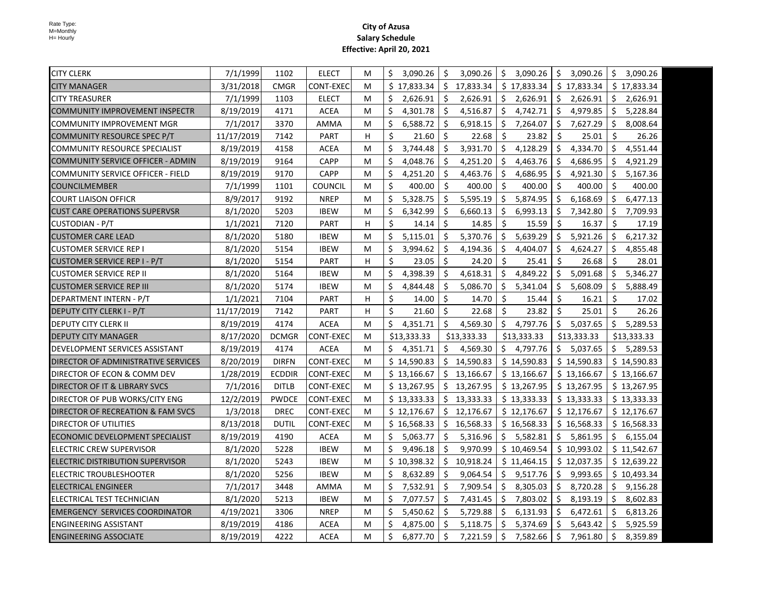| <b>CITY CLERK</b>                        | 7/1/1999   | 1102          | <b>ELECT</b>     | М | \$<br>3,090.26   | -\$                 | 3,090.26    | \$      | 3,090.26    | \$      | 3,090.26    | \$  | 3,090.26    |
|------------------------------------------|------------|---------------|------------------|---|------------------|---------------------|-------------|---------|-------------|---------|-------------|-----|-------------|
| <b>CITY MANAGER</b>                      | 3/31/2018  | <b>CMGR</b>   | <b>CONT-EXEC</b> | м | \$17,833.34      | Ŝ.                  | 17,833.34   |         | \$17,833.34 |         | \$17,833.34 |     | \$17,833.34 |
| <b>CITY TREASURER</b>                    | 7/1/1999   | 1103          | <b>ELECT</b>     | м | \$<br>2,626.91   | -\$                 | 2,626.91    | \$      | 2,626.91    | \$      | 2,626.91    | \$  | 2,626.91    |
| <b>COMMUNITY IMPROVEMENT INSPECTR</b>    | 8/19/2019  | 4171          | ACEA             | м | \$<br>4,301.78   | Ŝ.                  | 4,516.87    | \$      | 4,742.71    | Ŝ.      | 4,979.85    | \$  | 5,228.84    |
| COMMUNITY IMPROVEMENT MGR                | 7/1/2017   | 3370          | AMMA             | м | \$<br>6,588.72   | Ŝ.                  | 6,918.15    | Ŝ.      | 7,264.07    | Ŝ.      | 7,627.29    | \$  | 8,008.64    |
| COMMUNITY RESOURCE SPEC P/T              | 11/17/2019 | 7142          | PART             | н | $\zeta$<br>21.60 | -\$                 | 22.68       | Ŝ.      | 23.82       | \$      | 25.01       | Ŝ.  | 26.26       |
| COMMUNITY RESOURCE SPECIALIST            | 8/19/2019  | 4158          | ACEA             | М | \$<br>3,744.48   | $\ddot{\mathsf{S}}$ | 3,931.70    | \$      | 4,128.29    | \$      | 4,334.70    | \$  | 4,551.44    |
| COMMUNITY SERVICE OFFICER - ADMIN        | 8/19/2019  | 9164          | CAPP             | м | \$<br>4,048.76   | Ŝ.                  | 4,251.20    | \$      | 4,463.76    | S.      | 4,686.95    | \$  | 4,921.29    |
| <b>COMMUNITY SERVICE OFFICER - FIELD</b> | 8/19/2019  | 9170          | CAPP             | М | \$<br>4,251.20   | \$                  | 4,463.76    | \$      | 4,686.95    | S.      | 4,921.30    | \$  | 5,167.36    |
| <b>COUNCILMEMBER</b>                     | 7/1/1999   | 1101          | <b>COUNCIL</b>   | М | Ś.<br>400.00     | Ŝ.                  | 400.00      | Ŝ.      | 400.00      | Ŝ.      | 400.00      | Ŝ.  | 400.00      |
| <b>COURT LIAISON OFFICR</b>              | 8/9/2017   | 9192          | <b>NREP</b>      | м | \$<br>5,328.75   | Ŝ.                  | 5,595.19    | Ŝ.      | 5,874.95    | S.      | 6,168.69    | \$  | 6,477.13    |
| <b>CUST CARE OPERATIONS SUPERVSR</b>     | 8/1/2020   | 5203          | <b>IBEW</b>      | м | \$<br>6,342.99   | Ŝ.                  | 6,660.13    | \$      | 6,993.13    | \$      | 7,342.80    | \$  | 7,709.93    |
| <b>CUSTODIAN - P/T</b>                   | 1/1/2021   | 7120          | <b>PART</b>      | H | \$<br>14.14      | -\$                 | 14.85       | \$      | 15.59       | \$      | 16.37       | \$  | 17.19       |
| <b>CUSTOMER CARE LEAD</b>                | 8/1/2020   | 5180          | <b>IBEW</b>      | M | \$<br>5,115.01   | $\zeta$             | 5,370.76    | \$      | 5,639.29    | \$      | 5,921.26    | \$  | 6,217.32    |
| <b>CUSTOMER SERVICE REP I</b>            | 8/1/2020   | 5154          | <b>IBEW</b>      | м | Ś.<br>3,994.62   | \$                  | 4,194.36    | \$      | 4,404.07    | \$      | 4,624.27    | \$  | 4,855.48    |
| CUSTOMER SERVICE REP I - P/T             | 8/1/2020   | 5154          | <b>PART</b>      | H | \$<br>23.05      | -Ś                  | 24.20       | Ŝ.      | 25.41       | Ŝ.      | 26.68       | Ŝ.  | 28.01       |
| <b>CUSTOMER SERVICE REP II</b>           | 8/1/2020   | 5164          | <b>IBEW</b>      | м | \$<br>4,398.39   | Ŝ.                  | 4,618.31    | \$      | 4,849.22    | Ŝ.      | 5,091.68    | \$. | 5,346.27    |
| ICUSTOMER SERVICE REP III                | 8/1/2020   | 5174          | <b>IBEW</b>      | М | \$<br>4,844.48   | Ŝ.                  | 5,086.70    | Ŝ.      | 5,341.04    | -\$     | 5,608.09    | \$. | 5,888.49    |
| DEPARTMENT INTERN - P/T                  | 1/1/2021   | 7104          | PART             | H | \$<br>14.00      | Ŝ.                  | 14.70       | Ŝ.      | 15.44       | Ŝ.      | 16.21       | Ŝ.  | 17.02       |
| <b>DEPUTY CITY CLERK I - P/T</b>         | 11/17/2019 | 7142          | PART             | H | Ś.<br>21.60      | Ŝ.                  | 22.68       | Ŝ.      | 23.82       | Ŝ.      | 25.01       | Ŝ.  | 26.26       |
| <b>DEPUTY CITY CLERK II</b>              | 8/19/2019  | 4174          | <b>ACEA</b>      | м | \$<br>4,351.71   | Ŝ.                  | 4,569.30    | Ŝ.      | 4,797.76    | Ŝ.      | 5,037.65    | Ŝ.  | 5,289.53    |
| <b>DEPUTY CITY MANAGER</b>               | 8/17/2020  | <b>DCMGR</b>  | CONT-EXEC        | M | \$13,333.33      |                     | \$13,333.33 |         | \$13,333.33 |         | \$13,333.33 |     | \$13,333.33 |
| DEVELOPMENT SERVICES ASSISTANT           | 8/19/2019  | 4174          | <b>ACEA</b>      | M | Ŝ.<br>4,351.71   | Ŝ.                  | 4,569.30    |         | \$4,797.76  |         | \$5,037.65  | \$  | 5,289.53    |
| DIRECTOR OF ADMINISTRATIVE SERVICES      | 8/20/2019  | <b>DIRFN</b>  | CONT-EXEC        | м | \$14,590.83      |                     | \$14,590.83 |         | \$14,590.83 |         | \$14,590.83 |     | \$14,590.83 |
| DIRECTOR OF ECON & COMM DEV              | 1/28/2019  | <b>ECDDIR</b> | CONT-EXEC        | М | \$13,166.67      |                     | \$13,166.67 |         | \$13,166.67 |         | \$13,166.67 |     | \$13,166.67 |
| <b>DIRECTOR OF IT &amp; LIBRARY SVCS</b> | 7/1/2016   | <b>DITLB</b>  | CONT-EXEC        | м | \$13,267.95      |                     | \$13,267.95 |         | \$13,267.95 |         | \$13,267.95 |     | \$13,267.95 |
| DIRECTOR OF PUB WORKS/CITY ENG           | 12/2/2019  | <b>PWDCE</b>  | CONT-EXEC        | м | \$13,333.33      | \$                  | 13,333.33   |         | \$13,333.33 |         | \$13,333.33 |     | \$13,333.33 |
| DIRECTOR OF RECREATION & FAM SVCS        | 1/3/2018   | <b>DREC</b>   | CONT-EXEC        | м | \$12,176.67      |                     | \$12,176.67 |         | \$12,176.67 |         | \$12,176.67 |     | \$12,176.67 |
| DIRECTOR OF UTILITIES                    | 8/13/2018  | DUTIL         | CONT-EXEC        | м | \$16,568.33      | S.                  | 16,568.33   |         | \$16,568.33 |         | \$16,568.33 |     | \$16,568.33 |
| ECONOMIC DEVELOPMENT SPECIALIST          | 8/19/2019  | 4190          | ACEA             | м | Ś.<br>5,063.77   | S.                  | 5,316.96    |         | \$5,582.81  | \$      | 5,861.95    | Ŝ.  | 6,155.04    |
| ELECTRIC CREW SUPERVISOR                 | 8/1/2020   | 5228          | <b>IBEW</b>      | М | \$<br>9,496.18   | S.                  | 9,970.99    |         | \$10,469.54 |         | \$10,993.02 |     | \$11,542.67 |
| ELECTRIC DISTRIBUTION SUPERVISOR         | 8/1/2020   | 5243          | <b>IBEW</b>      | м | \$10,398.32      | S.                  | 10,918.24   |         | \$11,464.15 |         | \$12,037.35 |     | \$12,639.22 |
| <b>ELECTRIC TROUBLESHOOTER</b>           | 8/1/2020   | 5256          | <b>IBEW</b>      | м | \$<br>8,632.89   | Ŝ.                  | 9,064.54    | Ŝ.      | 9,517.76    | -\$     | 9,993.65    |     | \$10,493.34 |
| ELECTRICAL ENGINEER                      | 7/1/2017   | 3448          | AMMA             | м | Ŝ.<br>7,532.91   | -\$                 | 7,909.54    | Ŝ.      | 8,305.03    | -\$     | 8,720.28    | \$. | 9,156.28    |
| ELECTRICAL TEST TECHNICIAN               | 8/1/2020   | 5213          | <b>IBEW</b>      | М | \$<br>7,077.57   | Ŝ.                  | 7,431.45    | Ŝ.      | 7,803.02    | \$      | 8,193.19    | \$  | 8,602.83    |
| <b>EMERGENCY SERVICES COORDINATOR</b>    | 4/19/2021  | 3306          | <b>NREP</b>      | м | \$<br>5,450.62   | -\$                 | 5,729.88    | \$      | 6,131.93    | \$      | 6,472.61    | \$  | 6,813.26    |
| <b>ENGINEERING ASSISTANT</b>             | 8/19/2019  | 4186          | <b>ACEA</b>      | м | \$<br>4,875.00   | -\$                 | 5,118.75    | \$      | 5,374.69    | \$      | 5,643.42    | \$  | 5,925.59    |
| <b>ENGINEERING ASSOCIATE</b>             | 8/19/2019  | 4222          | <b>ACEA</b>      | M | \$<br>6,877.70   | $\zeta$             | 7,221.59    | $\zeta$ | 7,582.66    | $\zeta$ | 7,961.80    | \$  | 8,359.89    |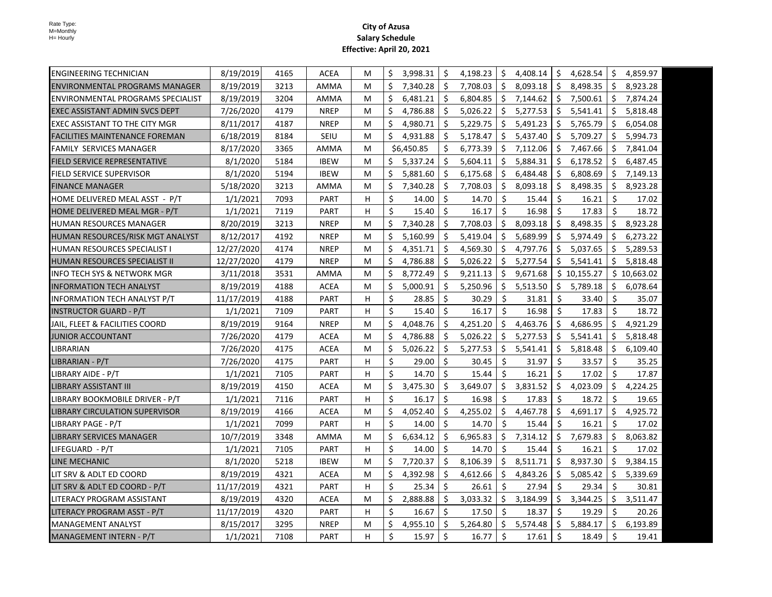| <b>ENGINEERING TECHNICIAN</b>            | 8/19/2019  | 4165 | ACEA        | М | \$ | 3,998.31   | \$ | 4,198.23 | Ŝ.  | 4,408.14 | Ŝ.                  | 4,628.54    | \$ | 4,859.97    |
|------------------------------------------|------------|------|-------------|---|----|------------|----|----------|-----|----------|---------------------|-------------|----|-------------|
| <b>ENVIRONMENTAL PROGRAMS MANAGER</b>    | 8/19/2019  | 3213 | AMMA        | M | \$ | 7,340.28   | \$ | 7,708.03 | Ŝ.  | 8,093.18 | Ŝ.                  | 8,498.35    | \$ | 8,923.28    |
| <b>ENVIRONMENTAL PROGRAMS SPECIALIST</b> | 8/19/2019  | 3204 | AMMA        | М | \$ | 6,481.21   | \$ | 6,804.85 | \$  | 7,144.62 | $\ddot{\mathsf{S}}$ | 7,500.61    | \$ | 7,874.24    |
| IEXEC ASSISTANT ADMIN SVCS DEPT          | 7/26/2020  | 4179 | <b>NREP</b> | м | \$ | 4,786.88   | Ŝ. | 5,026.22 | Ŝ.  | 5,277.53 | Ŝ.                  | 5,541.41    | Ŝ. | 5,818.48    |
| EXEC ASSISTANT TO THE CITY MGR           | 8/11/2017  | 4187 | <b>NREP</b> | М | Ś. | 4,980.71   | \$ | 5,229.75 | \$  | 5,491.23 | -\$                 | 5,765.79    | \$ | 6,054.08    |
| FACILITIES MAINTENANCE FOREMAN           | 6/18/2019  | 8184 | SEIU        | M | Ś  | 4,931.88   | Ŝ. | 5,178.47 | Ŝ.  | 5,437.40 | Ŝ.                  | 5,709.27    | Ŝ. | 5,994.73    |
| <b>FAMILY SERVICES MANAGER</b>           | 8/17/2020  | 3365 | AMMA        | М |    | \$6,450.85 | \$ | 6,773.39 | Ŝ.  | 7,112.06 | -\$                 | 7,467.66    | \$ | 7,841.04    |
| FIELD SERVICE REPRESENTATIVE             | 8/1/2020   | 5184 | <b>IBEW</b> | M | \$ | 5,337.24   | \$ | 5,604.11 | Ŝ.  | 5,884.31 | -\$                 | 6,178.52    | Ŝ. | 6,487.45    |
| <b>FIELD SERVICE SUPERVISOR</b>          | 8/1/2020   | 5194 | <b>IBEW</b> | M | Ś. | 5,881.60   | Ŝ. | 6,175.68 | Ŝ.  | 6,484.48 | Ŝ.                  | 6,808.69    | Ŝ. | 7,149.13    |
| FINANCE MANAGER                          | 5/18/2020  | 3213 | AMMA        | M | Ś. | 7,340.28   | Ŝ. | 7,708.03 | Ŝ.  | 8,093.18 | -Ś                  | 8,498.35    | Ś. | 8,923.28    |
| HOME DELIVERED MEAL ASST - P/T           | 1/1/2021   | 7093 | <b>PART</b> | H | \$ | 14.00      | Ś. | 14.70    | Ŝ.  | 15.44    | Ŝ.                  | 16.21       | Ŝ. | 17.02       |
| HOME DELIVERED MEAL MGR - P/T            | 1/1/2021   | 7119 | PART        | H | \$ | 15.40      | Ś. | 16.17    | Ś.  | 16.98    | Ŝ.                  | 17.83       | \$ | 18.72       |
| HUMAN RESOURCES MANAGER                  | 8/20/2019  | 3213 | <b>NREP</b> | M | \$ | 7,340.28   | \$ | 7,708.03 | Ŝ.  | 8,093.18 | Ŝ.                  | 8,498.35    | \$ | 8,923.28    |
| HUMAN RESOURCES/RISK MGT ANALYST         | 8/12/2017  | 4192 | <b>NREP</b> | M | \$ | 5,160.99   | \$ | 5,419.04 | Ŝ.  | 5,689.99 | Ŝ.                  | 5,974.49    | \$ | 6,273.22    |
| HUMAN RESOURCES SPECIALIST I             | 12/27/2020 | 4174 | <b>NREP</b> | M | \$ | 4,351.71   | \$ | 4,569.30 | Ŝ.  | 4,797.76 | Ŝ.                  | 5,037.65    | Ŝ. | 5,289.53    |
| IHUMAN RESOURCES SPECIALIST II           | 12/27/2020 | 4179 | <b>NREP</b> | М | \$ | 4,786.88   | Ŝ. | 5,026.22 | Ŝ.  | 5,277.54 | Ŝ.                  | 5,541.41    | Ś. | 5,818.48    |
| INFO TECH SYS & NETWORK MGR              | 3/11/2018  | 3531 | AMMA        | М | \$ | 8,772.49   | \$ | 9,211.13 | \$  | 9,671.68 |                     | \$10,155.27 |    | \$10,663.02 |
| <b>INFORMATION TECH ANALYST</b>          | 8/19/2019  | 4188 | <b>ACEA</b> | М | \$ | 5,000.91   | Ŝ. | 5,250.96 | Ŝ.  | 5,513.50 | Ŝ.                  | 5,789.18    | Ŝ. | 6,078.64    |
| <b>INFORMATION TECH ANALYST P/T</b>      | 11/17/2019 | 4188 | <b>PART</b> | н | \$ | 28.85      | Ś. | 30.29    | Ŝ.  | 31.81    | Ś.                  | 33.40       | Ŝ. | 35.07       |
| <b>INSTRUCTOR GUARD - P/T</b>            | 1/1/2021   | 7109 | <b>PART</b> | н | \$ | 15.40      | Ś. | 16.17    | Ś.  | 16.98    | Ŝ.                  | 17.83       | Ś. | 18.72       |
| JAIL, FLEET & FACILITIES COORD           | 8/19/2019  | 9164 | <b>NREP</b> | M | \$ | 4,048.76   | Ś. | 4,251.20 | Ŝ.  | 4,463.76 | Ŝ.                  | 4,686.95    | Ś. | 4,921.29    |
| JUNIOR ACCOUNTANT                        | 7/26/2020  | 4179 | <b>ACEA</b> | М | \$ | 4,786.88   | Ś. | 5,026.22 | Ŝ.  | 5,277.53 | Ŝ.                  | 5,541.41    | Ś. | 5,818.48    |
| LIBRARIAN                                | 7/26/2020  | 4175 | <b>ACEA</b> | M | \$ | 5,026.22   | \$ | 5,277.53 | Ś.  | 5,541.41 | Ŝ.                  | 5,818.48    | \$ | 6,109.40    |
| LIBRARIAN - P/T                          | 7/26/2020  | 4175 | <b>PART</b> | H | \$ | 29.00      | \$ | 30.45    | \$  | 31.97    | \$                  | 33.57       | \$ | 35.25       |
| LIBRARY AIDE - P/T                       | 1/1/2021   | 7105 | <b>PART</b> | н | \$ | 14.70      | Ś. | 15.44    | Ś.  | 16.21    | Ŝ.                  | 17.02       | Ś. | 17.87       |
| LIBRARY ASSISTANT III                    | 8/19/2019  | 4150 | <b>ACEA</b> | М | \$ | 3,475.30   | \$ | 3,649.07 | \$  | 3,831.52 | Ŝ.                  | 4,023.09    | \$ | 4,224.25    |
| LIBRARY BOOKMOBILE DRIVER - P/T          | 1/1/2021   | 7116 | <b>PART</b> | H | \$ | 16.17      | Ś. | 16.98    | Ś.  | 17.83    | -Ś                  | 18.72       | \$ | 19.65       |
| LIBRARY CIRCULATION SUPERVISOR           | 8/19/2019  | 4166 | <b>ACEA</b> | М | \$ | 4,052.40   | \$ | 4,255.02 | \$  | 4,467.78 | \$                  | 4,691.17    | \$ | 4,925.72    |
| LIBRARY PAGE - P/T                       | 1/1/2021   | 7099 | <b>PART</b> | H | \$ | 14.00      | \$ | 14.70    | Ŝ.  | 15.44    | \$                  | 16.21       | \$ | 17.02       |
| LIBRARY SERVICES MANAGER                 | 10/7/2019  | 3348 | AMMA        | M | \$ | 6,634.12   | \$ | 6,965.83 | \$  | 7,314.12 | S.                  | 7,679.83    | \$ | 8,063.82    |
| LIFEGUARD - P/T                          | 1/1/2021   | 7105 | <b>PART</b> | H | \$ | 14.00      | Ŝ. | 14.70    | Ŝ.  | 15.44    | $\mathsf{\hat{S}}$  | 16.21       | Ś. | 17.02       |
| LINE MECHANIC                            | 8/1/2020   | 5218 | <b>IBEW</b> | М | \$ | 7,720.37   | Ś. | 8,106.39 | \$  | 8,511.71 | S.                  | 8,937.30    | Ŝ. | 9,384.15    |
| LIT SRV & ADLT ED COORD                  | 8/19/2019  | 4321 | <b>ACEA</b> | М | \$ | 4,392.98   | \$ | 4,612.66 | \$. | 4,843.26 | Ŝ.                  | 5,085.42    | \$ | 5,339.69    |
| LIT SRV & ADLT ED COORD - P/T            | 11/17/2019 | 4321 | <b>PART</b> | н | \$ | 25.34      | \$ | 26.61    | Ŝ.  | 27.94    | \$                  | 29.34       | Ś. | 30.81       |
| LITERACY PROGRAM ASSISTANT               | 8/19/2019  | 4320 | <b>ACEA</b> | М | \$ | 2,888.88   | \$ | 3,033.32 | \$  | 3,184.99 | S.                  | 3,344.25    | \$ | 3,511.47    |
| LITERACY PROGRAM ASST - P/T              | 11/17/2019 | 4320 | <b>PART</b> | н | \$ | 16.67      | Ś. | 17.50    | Ŝ.  | 18.37    | $\ddot{\mathsf{S}}$ | 19.29       | Ŝ. | 20.26       |
| <b>MANAGEMENT ANALYST</b>                | 8/15/2017  | 3295 | <b>NREP</b> | М | \$ | 4,955.10   | \$ | 5,264.80 | \$  | 5,574.48 | Ŝ.                  | 5,884.17    | \$ | 6,193.89    |
| MANAGEMENT INTERN - P/T                  | 1/1/2021   | 7108 | PART        | н | \$ | 15.97      | \$ | 16.77    | \$  | 17.61    | $\ddot{\mathsf{S}}$ | 18.49       | Ŝ. | 19.41       |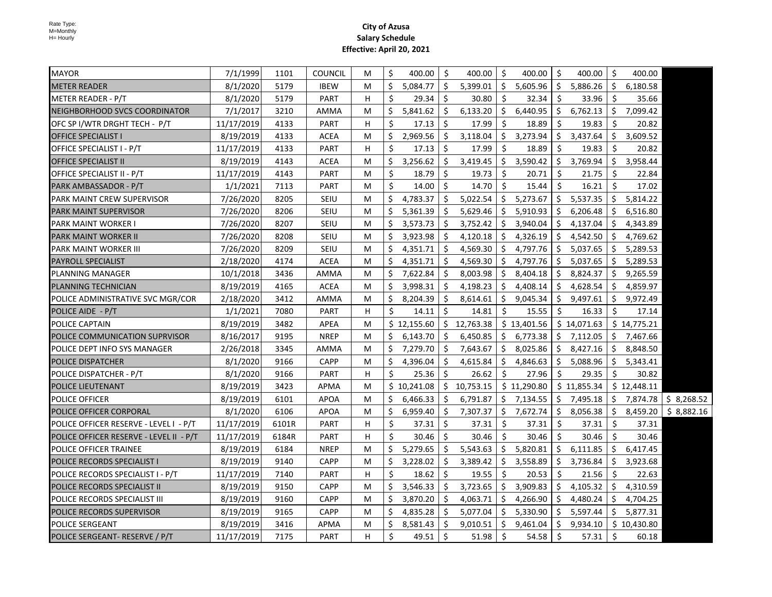| <b>MAYOR</b>                            | 7/1/1999   | 1101  | <b>COUNCIL</b> | М | \$ | 400.00      | \$ | 400.00      | Ŝ.                  | 400.00      | \$  | 400.00      | \$  | 400.00      |             |
|-----------------------------------------|------------|-------|----------------|---|----|-------------|----|-------------|---------------------|-------------|-----|-------------|-----|-------------|-------------|
| <b>METER READER</b>                     | 8/1/2020   | 5179  | <b>IBEW</b>    | м | \$ | 5.084.77    | Ŝ. | 5,399.01    | Ŝ.                  | 5,605.96    | \$  | 5,886.26    | \$  | 6,180.58    |             |
| METER READER - P/T                      | 8/1/2020   | 5179  | PART           | H | \$ | 29.34       | Ŝ. | 30.80       | Ŝ.                  | 32.34       | Ŝ.  | 33.96       | \$  | 35.66       |             |
| NEIGHBORHOOD SVCS COORDINATOR           | 7/1/2017   | 3210  | AMMA           | M | Ś. | 5,841.62    | Ŝ. | 6,133.20    | Ŝ.                  | 6,440.95    | \$  | 6,762.13    | \$  | 7,099.42    |             |
| OFC SP I/WTR DRGHT TECH - P/T           | 11/17/2019 | 4133  | PART           | H | Ŝ. | 17.13       | Ŝ. | 17.99       | \$                  | 18.89       | Ŝ.  | 19.83       | Ŝ   | 20.82       |             |
| <b>OFFICE SPECIALIST I</b>              | 8/19/2019  | 4133  | ACEA           | М | \$ | 2,969.56    | \$ | 3,118.04    | \$                  | 3,273.94    | \$  | 3,437.64    | \$  | 3,609.52    |             |
| OFFICE SPECIALIST I - P/T               | 11/17/2019 | 4133  | PART           | H | \$ | 17.13       | Ŝ. | 17.99       | Ŝ.                  | 18.89       | Ŝ.  | 19.83       | Ŝ.  | 20.82       |             |
| <b>OFFICE SPECIALIST II</b>             | 8/19/2019  | 4143  | <b>ACEA</b>    | М | Ŝ. | 3,256.62    | Ŝ. | 3,419.45    | Ŝ.                  | 3,590.42    | \$  | 3,769.94    | \$  | 3,958.44    |             |
| OFFICE SPECIALIST II - P/T              | 11/17/2019 | 4143  | <b>PART</b>    | М | Ŝ. | 18.79       | Ŝ. | 19.73       | Ŝ.                  | 20.71       | Ŝ.  | 21.75       | Ŝ.  | 22.84       |             |
| PARK AMBASSADOR - P/T                   | 1/1/2021   | 7113  | PART           | M | Ś. | 14.00       | Ŝ. | 14.70       | Ŝ.                  | 15.44       | Ŝ.  | 16.21       | Ŝ.  | 17.02       |             |
| PARK MAINT CREW SUPERVISOR              | 7/26/2020  | 8205  | SEIU           | М | \$ | 4,783.37    | \$ | 5,022.54    | \$                  | 5,273.67    | \$  | 5,537.35    | \$  | 5,814.22    |             |
| <b>PARK MAINT SUPERVISOR</b>            | 7/26/2020  | 8206  | SEIU           | М | \$ | 5,361.39    | \$ | 5,629.46    | \$                  | 5,910.93    | \$  | 6,206.48    | \$  | 6,516.80    |             |
| PARK MAINT WORKER I                     | 7/26/2020  | 8207  | SEIU           | M | \$ | 3,573.73    | \$ | 3,752.42    | \$                  | 3,940.04    | \$  | 4,137.04    | \$  | 4,343.89    |             |
| <b>PARK MAINT WORKER II</b>             | 7/26/2020  | 8208  | SEIU           | M | Ś. | 3,923.98    | Ŝ. | 4,120.18    | Ŝ.                  | 4,326.19    | \$  | 4,542.50    | \$  | 4,769.62    |             |
| PARK MAINT WORKER III                   | 7/26/2020  | 8209  | SEIU           | М | \$ | 4,351.71    | \$ | 4,569.30    | Ŝ.                  | 4,797.76    | \$  | 5,037.65    | \$  | 5,289.53    |             |
| PAYROLL SPECIALIST                      | 2/18/2020  | 4174  | ACEA           | М | \$ | 4,351.71    | \$ | 4,569.30    | \$                  | 4,797.76    | \$  | 5,037.65    | \$  | 5,289.53    |             |
| PLANNING MANAGER                        | 10/1/2018  | 3436  | AMMA           | М | \$ | 7,622.84    | \$ | 8,003.98    | \$                  | 8,404.18    | \$  | 8,824.37    | \$  | 9,265.59    |             |
| PLANNING TECHNICIAN                     | 8/19/2019  | 4165  | <b>ACEA</b>    | Μ | \$ | 3,998.31    | \$ | 4,198.23    | \$                  | 4,408.14    | \$  | 4,628.54    | \$  | 4,859.97    |             |
| POLICE ADMINISTRATIVE SVC MGR/COR       | 2/18/2020  | 3412  | AMMA           | М | Ŝ. | 8,204.39    | Ŝ. | 8,614.61    | Ŝ.                  | 9,045.34    | Ŝ.  | 9,497.61    | Ŝ.  | 9,972.49    |             |
| POLICE AIDE - P/T                       | 1/1/2021   | 7080  | PART           | H | Ś. | 14.11       | Ŝ. | 14.81       | Ŝ.                  | 15.55       | Ŝ.  | 16.33       | Ŝ.  | 17.14       |             |
| POLICE CAPTAIN                          | 8/19/2019  | 3482  | APEA           | M |    | \$12,155.60 |    | \$12,763.38 |                     | \$13,401.56 |     | \$14,071.63 |     | \$14,775.21 |             |
| POLICE COMMUNICATION SUPRVISOR          | 8/16/2017  | 9195  | <b>NREP</b>    | М | Ś. | 6,143.70    | Ŝ. | 6,450.85    | Ŝ.                  | 6,773.38    | Ŝ.  | 7,112.05    | Ŝ.  | 7,467.66    |             |
| POLICE DEPT INFO SYS MANAGER            | 2/26/2018  | 3345  | AMMA           | М | Ś. | 7,279.70    | Ŝ. | 7,643.67    | Ŝ.                  | 8,025.86    | \$  | 8,427.16    | Ŝ.  | 8,848.50    |             |
| <b>POLICE DISPATCHER</b>                | 8/1/2020   | 9166  | CAPP           | М | \$ | 4,396.04    | \$ | 4,615.84    | Ŝ.                  | 4,846.63    | \$  | 5,088.96    | \$  | 5,343.41    |             |
| POLICE DISPATCHER - P/T                 | 8/1/2020   | 9166  | <b>PART</b>    | H | Ŝ. | 25.36       | Ŝ. | 26.62       | Ŝ.                  | 27.96       | Ŝ.  | 29.35       | Ŝ.  | 30.82       |             |
| POLICE LIEUTENANT                       | 8/19/2019  | 3423  | APMA           | M |    | \$10,241.08 | S. | 10,753.15   |                     | \$11,290.80 |     | \$11,855.34 |     | \$12,448.11 |             |
| POLICE OFFICER                          | 8/19/2019  | 6101  | <b>APOA</b>    | М | \$ | 6,466.33    | Ŝ. | 6,791.87    |                     | \$7,134.55  |     | \$7,495.18  |     | \$7,874.78  | \$ 8,268.52 |
| POLICE OFFICER CORPORAL                 | 8/1/2020   | 6106  | <b>APOA</b>    | м | \$ | 6,959.40    | S. | 7,307.37    | \$                  | 7,672.74    | \$  | 8,056.38    | \$  | 8,459.20    | \$8,882.16  |
| POLICE OFFICER RESERVE - LEVEL I - P/T  | 11/17/2019 | 6101R | PART           | H | Ś. | 37.31       | \$ | 37.31       | $\ddot{\mathsf{S}}$ | 37.31       | Ś.  | 37.31       | \$  | 37.31       |             |
| POLICE OFFICER RESERVE - LEVEL II - P/T | 11/17/2019 | 6184R | PART           | н | Ś. | 30.46       | Ŝ. | 30.46       | Ŝ.                  | 30.46       | Ŝ.  | 30.46       | Ŝ.  | 30.46       |             |
| POLICE OFFICER TRAINEE                  | 8/19/2019  | 6184  | <b>NREP</b>    | М | Ś. | 5,279.65    | Ŝ. | 5,543.63    | Ŝ.                  | 5,820.81    | Ŝ.  | 6,111.85    | \$  | 6,417.45    |             |
| POLICE RECORDS SPECIALIST I             | 8/19/2019  | 9140  | <b>CAPP</b>    | M | Ś  | 3,228.02    | Ś  | 3,389.42    | Ŝ.                  | 3,558.89    | \$  | 3,736.84    | \$. | 3,923.68    |             |
| POLICE RECORDS SPECIALIST I - P/T       | 11/17/2019 | 7140  | PART           | H | \$ | 18.62       | Ŝ. | 19.55       | \$                  | 20.53       | \$  | 21.56       | \$  | 22.63       |             |
| POLICE RECORDS SPECIALIST II            | 8/19/2019  | 9150  | <b>CAPP</b>    | М | Ś  | 3,546.33    | \$ | 3,723.65    | \$                  | 3,909.83    | \$  | 4,105.32    | \$  | 4,310.59    |             |
| POLICE RECORDS SPECIALIST III           | 8/19/2019  | 9160  | <b>CAPP</b>    | M | \$ | 3,870.20    | \$ | 4,063.71    | \$                  | 4,266.90    | \$  | 4,480.24    | \$  | 4,704.25    |             |
| POLICE RECORDS SUPERVISOR               | 8/19/2019  | 9165  | <b>CAPP</b>    | M | \$ | 4,835.28    | \$ | 5,077.04    | Ŝ.                  | 5,330.90    | \$  | 5,597.44    | \$  | 5,877.31    |             |
| POLICE SERGEANT                         | 8/19/2019  | 3416  | APMA           | M | \$ | 8,581.43    | \$ | 9,010.51    | Ŝ.                  | 9,461.04    | \$. | 9,934.10    |     | \$10,430.80 |             |
| POLICE SERGEANT- RESERVE / P/T          | 11/17/2019 | 7175  | PART           | H | \$ | 49.51       | \$ | 51.98       | -\$                 | 54.58       | \$  | 57.31       | \$  | 60.18       |             |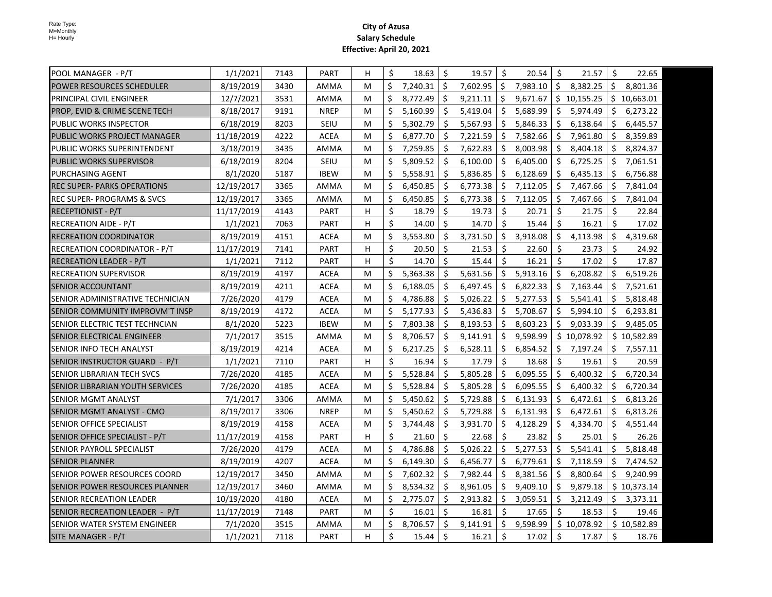| POOL MANAGER  - P/T                    | 1/1/2021   | 7143 | <b>PART</b> | H | Ŝ.      | 18.63    | Ŝ.                  | 19.57                | Ŝ.                  | 20.54      | $\ddot{\mathsf{S}}$ | 21.57       | Ŝ.  | 22.65       |
|----------------------------------------|------------|------|-------------|---|---------|----------|---------------------|----------------------|---------------------|------------|---------------------|-------------|-----|-------------|
| POWER RESOURCES SCHEDULER              | 8/19/2019  | 3430 | AMMA        | м | \$      | 7,240.31 | Ŝ.                  | $7,602.95$ $\mid$ \$ |                     | 7,983.10 S |                     | 8,382.25    | Ŝ.  | 8,801.36    |
| <b>PRINCIPAL CIVIL ENGINEER</b>        | 12/7/2021  | 3531 | AMMA        | м | \$      | 8,772.49 | \$                  | 9,211.11             | \$                  | 9,671.67   |                     | \$10,155.25 |     | \$10,663.01 |
| PROP, EVID & CRIME SCENE TECH          | 8/18/2017  | 9191 | <b>NREP</b> | м | \$      | 5,160.99 | \$                  | 5,419.04             | Ŝ.                  | 5,689.99   | \$                  | 5,974.49    | \$  | 6,273.22    |
| PUBLIC WORKS INSPECTOR                 | 6/18/2019  | 8203 | SEIU        | м | \$      | 5,302.79 | \$                  | 5,567.93             | S.                  | 5,846.33   | \$                  | 6,138.64    | \$  | 6,445.57    |
| PUBLIC WORKS PROJECT MANAGER           | 11/18/2019 | 4222 | <b>ACEA</b> | м | \$      | 6,877.70 | Ŝ.                  | 7,221.59             | Ŝ.                  | 7,582.66   | Ŝ.                  | 7,961.80    | Ŝ.  | 8,359.89    |
| PUBLIC WORKS SUPERINTENDENT            | 3/18/2019  | 3435 | AMMA        | м | \$      | 7,259.85 | \$                  | 7,622.83             | Ŝ.                  | 8,003.98   | \$                  | 8,404.18    | Ŝ.  | 8,824.37    |
| PUBLIC WORKS SUPERVISOR                | 6/18/2019  | 8204 | SEIU        | м | \$      | 5,809.52 | \$                  | 6,100.00             | Ŝ.                  | 6,405.00   | \$                  | 6,725.25    | Ŝ.  | 7,061.51    |
| PURCHASING AGENT                       | 8/1/2020   | 5187 | <b>IBEW</b> | м | \$      | 5,558.91 | Ŝ.                  | 5,836.85             | Ŝ.                  | 6,128.69   | \$                  | 6,435.13    | Ŝ.  | 6,756.88    |
| REC SUPER- PARKS OPERATIONS            | 12/19/2017 | 3365 | AMMA        | м | \$      | 6,450.85 | \$                  | 6,773.38             | Ŝ.                  | 7,112.05   | \$                  | 7,467.66    | \$  | 7,841.04    |
| <b>REC SUPER- PROGRAMS &amp; SVCS</b>  | 12/19/2017 | 3365 | AMMA        | М | \$      | 6,450.85 | \$                  | 6,773.38             | \$                  | 7,112.05   | \$                  | 7,467.66    | -\$ | 7,841.04    |
| RECEPTIONIST - P/T                     | 11/17/2019 | 4143 | <b>PART</b> | H | \$      | 18.79    | Ŝ.                  | 19.73                | \$                  | 20.71      | \$                  | 21.75       | \$  | 22.84       |
| RECREATION AIDE - P/T                  | 1/1/2021   | 7063 | PART        | H | \$      | 14.00    | Ŝ.                  | 14.70                | Ŝ.                  | 15.44      | $\ddot{\mathsf{S}}$ | 16.21       | Ŝ.  | 17.02       |
| RECREATION COORDINATOR                 | 8/19/2019  | 4151 | <b>ACEA</b> | М | \$      | 3,553.80 | \$                  | 3,731.50             | Ŝ.                  | 3,918.08   | \$                  | 4,113.98    | \$  | 4,319.68    |
| <b>RECREATION COORDINATOR - P/T</b>    | 11/17/2019 | 7141 | <b>PART</b> | н | \$      | 20.50    | \$                  | 21.53                | Ŝ.                  | 22.60      | \$                  | 23.73       | \$  | 24.92       |
| <b>RECREATION LEADER - P/T</b>         | 1/1/2021   | 7112 | <b>PART</b> | н | \$      | 14.70    | Ś.                  | 15.44                | Ŝ.                  | 16.21      | Ŝ.                  | 17.02       | \$  | 17.87       |
| <b>RECREATION SUPERVISOR</b>           | 8/19/2019  | 4197 | <b>ACEA</b> | м | \$      | 5,363.38 | Ŝ.                  | 5,631.56             | Ŝ.                  | 5,913.16   | Ŝ.                  | 6,208.82    | Ŝ.  | 6,519.26    |
| <b>SENIOR ACCOUNTANT</b>               | 8/19/2019  | 4211 | <b>ACEA</b> | м | Ś.      | 6,188.05 | Ŝ.                  | 6,497.45             | Ŝ.                  | 6,822.33   | Ŝ.                  | 7,163.44    | Ŝ.  | 7,521.61    |
| SENIOR ADMINISTRATIVE TECHNICIAN       | 7/26/2020  | 4179 | <b>ACEA</b> | м | Ŝ.      | 4,786.88 | Ŝ.                  | 5,026.22             | Ŝ.                  | 5,277.53   | Ŝ.                  | 5,541.41    | Ś.  | 5,818.48    |
| SENIOR COMMUNITY IMPROVM'T INSP        | 8/19/2019  | 4172 | <b>ACEA</b> | М | Ŝ.      | 5,177.93 | Ŝ.                  | 5,436.83             | Ŝ.                  | 5,708.67   | Ŝ.                  | 5,994.10    | Ŝ.  | 6,293.81    |
| SENIOR ELECTRIC TEST TECHNCIAN         | 8/1/2020   | 5223 | <b>IBEW</b> | м | \$      | 7,803.38 | Ŝ.                  | 8,193.53             | Ŝ.                  | 8,603.23   | Ŝ.                  | 9,033.39    | Ŝ.  | 9,485.05    |
| <b>SENIOR ELECTRICAL ENGINEER</b>      | 7/1/2017   | 3515 | AMMA        | м | \$      | 8,706.57 | Ŝ.                  | 9,141.91             | Ŝ.                  | 9,598.99   |                     | \$10,078.92 |     | \$10,582.89 |
| ISENIOR INFO TECH ANALYST              | 8/19/2019  | 4214 | <b>ACEA</b> | м | \$      | 6,217.25 | \$                  | 6,528.11             | Ŝ.                  | 6,854.52   | \$                  | 7,197.24    | \$  | 7,557.11    |
| SENIOR INSTRUCTOR GUARD - P/T          | 1/1/2021   | 7110 | PART        | н | \$      | 16.94    | \$                  | 17.79                | \$                  | 18.68      | Ŝ.                  | 19.61       | \$  | 20.59       |
| SENIOR LIBRARIAN TECH SVCS             | 7/26/2020  | 4185 | <b>ACEA</b> | м | \$      | 5,528.84 | \$                  | 5,805.28             | \$                  | 6,095.55   | Ŝ.                  | 6,400.32    | \$. | 6,720.34    |
| <b>SENIOR LIBRARIAN YOUTH SERVICES</b> | 7/26/2020  | 4185 | <b>ACEA</b> | м | \$      | 5,528.84 | \$                  | 5,805.28             | Ŝ.                  | 6,095.55   | Ŝ.                  | 6,400.32    | \$. | 6,720.34    |
| <b>SENIOR MGMT ANALYST</b>             | 7/1/2017   | 3306 | AMMA        | м | \$      | 5,450.62 | \$                  | 5,729.88             | Ŝ.                  | 6,131.93   | \$                  | 6,472.61    | S.  | 6,813.26    |
| SENIOR MGMT ANALYST - CMO              | 8/19/2017  | 3306 | <b>NREP</b> | М | \$      | 5,450.62 | \$                  | 5,729.88             | Ŝ.                  | 6,131.93   | -\$                 | 6,472.61    | S.  | 6,813.26    |
| <b>SENIOR OFFICE SPECIALIST</b>        | 8/19/2019  | 4158 | <b>ACEA</b> | М | \$      | 3,744.48 | Ŝ.                  | 3,931.70             | -\$                 | 4,128.29   | Ŝ.                  | 4,334.70    | Ŝ.  | 4,551.44    |
| SENIOR OFFICE SPECIALIST - P/T         | 11/17/2019 | 4158 | PART        | H | Ŝ.      | 21.60    | Ŝ.                  | 22.68                | Ŝ.                  | 23.82      | Ŝ.                  | 25.01       | Ŝ.  | 26.26       |
| SENIOR PAYROLL SPECIALIST              | 7/26/2020  | 4179 | <b>ACEA</b> | м | Ŝ.      | 4,786.88 | Ŝ.                  | 5,026.22             | Ŝ.                  | 5,277.53   | Ŝ.                  | 5,541.41    | Ŝ.  | 5,818.48    |
| <b>SENIOR PLANNER</b>                  | 8/19/2019  | 4207 | ACEA        | М | \$      | 6,149.30 | Ŝ.                  | 6,456.77             | Ŝ.                  | 6,779.61   | Ŝ.                  | 7,118.59    | \$  | 7,474.52    |
| SENIOR POWER RESOURCES COORD           | 12/19/2017 | 3450 | AMMA        | м | \$      | 7,602.32 | S.                  | 7,982.44             | Ŝ.                  | 8,381.56   | \$                  | 8,800.64    | \$. | 9,240.99    |
| SENIOR POWER RESOURCES PLANNER         | 12/19/2017 | 3460 | AMMA        | м | \$      | 8,534.32 | \$                  | 8,961.05             | Ŝ.                  | 9,409.10   | \$                  | 9,879.18    |     | \$10,373.14 |
| <b>SENIOR RECREATION LEADER</b>        | 10/19/2020 | 4180 | <b>ACEA</b> | м | \$      | 2,775.07 | \$                  | 2,913.82             | \$                  | 3,059.51   | \$                  | 3,212.49    | \$  | 3,373.11    |
| SENIOR RECREATION LEADER - P/T         | 11/17/2019 | 7148 | <b>PART</b> | м | \$      | 16.01    | Ŝ.                  | 16.81                | $\ddot{\mathsf{S}}$ | 17.65      | \$                  | 18.53       | \$  | 19.46       |
| SENIOR WATER SYSTEM ENGINEER           | 7/1/2020   | 3515 | AMMA        | м | \$      | 8,706.57 | \$                  | 9,141.91             | Ŝ.                  | 9,598.99   |                     | \$10,078.92 |     | \$10,582.89 |
| SITE MANAGER - P/T                     | 1/1/2021   | 7118 | <b>PART</b> | H | $\zeta$ | 15.44    | $\ddot{\mathsf{S}}$ | 16.21                | $\ddot{\mathsf{S}}$ | 17.02      | \$                  | 17.87       | \$  | 18.76       |
|                                        |            |      |             |   |         |          |                     |                      |                     |            |                     |             |     |             |